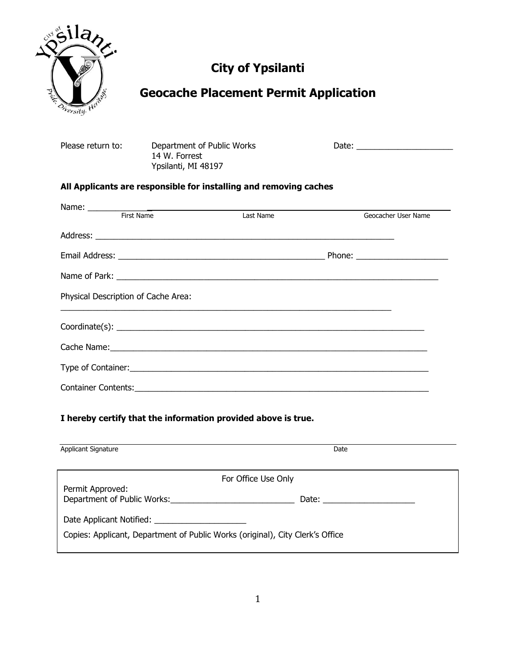

# **City of Ypsilanti**

## **Geocache Placement Permit Application**

| Please return to: | Department of Public Works |
|-------------------|----------------------------|
|                   | 14 W. Forrest              |
|                   | Ypsilanti, MI 48197        |

Please return to: Department of Public Works Date: \_\_\_\_\_\_\_\_\_\_\_\_\_\_\_\_\_\_\_\_\_

#### **All Applicants are responsible for installing and removing caches**

| First Name<br>Last Name             |  | Geocacher User Name |  |
|-------------------------------------|--|---------------------|--|
|                                     |  |                     |  |
|                                     |  |                     |  |
|                                     |  |                     |  |
| Physical Description of Cache Area: |  |                     |  |
|                                     |  |                     |  |
|                                     |  |                     |  |
|                                     |  |                     |  |
|                                     |  |                     |  |

#### **I hereby certify that the information provided above is true.**

| <b>Applicant Signature</b>                                                    | Date                |
|-------------------------------------------------------------------------------|---------------------|
|                                                                               | For Office Use Only |
| Permit Approved:<br>Department of Public Works:                               | Date:               |
| Copies: Applicant, Department of Public Works (original), City Clerk's Office |                     |